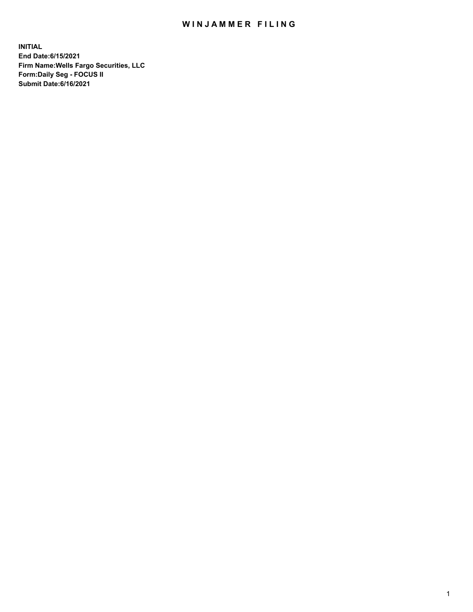## WIN JAMMER FILING

**INITIAL End Date:6/15/2021 Firm Name:Wells Fargo Securities, LLC Form:Daily Seg - FOCUS II Submit Date:6/16/2021**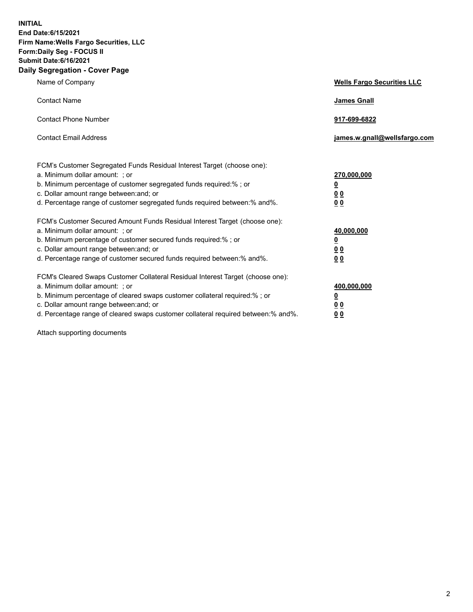**INITIAL End Date:6/15/2021 Firm Name:Wells Fargo Securities, LLC Form:Daily Seg - FOCUS II Submit Date:6/16/2021 Daily Segregation - Cover Page**

| Name of Company                                                                                                                                                                                                                                                                                                                | <b>Wells Fargo Securities LLC</b>                                           |
|--------------------------------------------------------------------------------------------------------------------------------------------------------------------------------------------------------------------------------------------------------------------------------------------------------------------------------|-----------------------------------------------------------------------------|
| <b>Contact Name</b>                                                                                                                                                                                                                                                                                                            | <b>James Gnall</b>                                                          |
| <b>Contact Phone Number</b>                                                                                                                                                                                                                                                                                                    | 917-699-6822                                                                |
| <b>Contact Email Address</b>                                                                                                                                                                                                                                                                                                   | james.w.gnall@wellsfargo.com                                                |
| FCM's Customer Segregated Funds Residual Interest Target (choose one):<br>a. Minimum dollar amount: ; or<br>b. Minimum percentage of customer segregated funds required:% ; or<br>c. Dollar amount range between: and; or<br>d. Percentage range of customer segregated funds required between: % and %.                       | 270,000,000<br>$\underline{\mathbf{0}}$<br>0 <sub>0</sub><br>0 <sub>0</sub> |
| FCM's Customer Secured Amount Funds Residual Interest Target (choose one):<br>a. Minimum dollar amount: ; or<br>b. Minimum percentage of customer secured funds required:%; or<br>c. Dollar amount range between: and; or<br>d. Percentage range of customer secured funds required between: % and %.                          | 40,000,000<br>$\overline{\mathbf{0}}$<br>00<br>0 <sub>0</sub>               |
| FCM's Cleared Swaps Customer Collateral Residual Interest Target (choose one):<br>a. Minimum dollar amount: ; or<br>b. Minimum percentage of cleared swaps customer collateral required:% ; or<br>c. Dollar amount range between: and; or<br>d. Percentage range of cleared swaps customer collateral required between:% and%. | 400,000,000<br><u>0</u><br>00<br>00                                         |

Attach supporting documents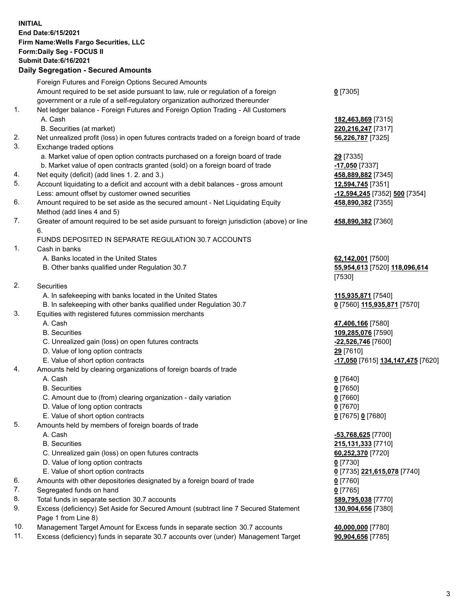**INITIAL End Date:6/15/2021 Firm Name:Wells Fargo Securities, LLC Form:Daily Seg - FOCUS II Submit Date:6/16/2021 Daily Segregation - Secured Amounts**

Foreign Futures and Foreign Options Secured Amounts Amount required to be set aside pursuant to law, rule or regulation of a foreign government or a rule of a self-regulatory organization authorized thereunder 1. Net ledger balance - Foreign Futures and Foreign Option Trading - All Customers A. Cash **182,463,869** [7315] B. Securities (at market) **220,216,247** [7317] 2. Net unrealized profit (loss) in open futures contracts traded on a foreign board of trade **56,226,787** [7325] 3. Exchange traded options a. Market value of open option contracts purchased on a foreign board of trade **29** [7335] b. Market value of open contracts granted (sold) on a foreign board of trade **-17,050** [7337] 4. Net equity (deficit) (add lines 1. 2. and 3.) **458,889,882** [7345] 5. Account liquidating to a deficit and account with a debit balances - gross amount **12,594,745** [7351] Less: amount offset by customer owned securities **-12,594,245** [7352] **500** [7354] 6. Amount required to be set aside as the secured amount - Net Liquidating Equity Method (add lines 4 and 5) 7. Greater of amount required to be set aside pursuant to foreign jurisdiction (above) or line 6. FUNDS DEPOSITED IN SEPARATE REGULATION 30.7 ACCOUNTS 1. Cash in banks A. Banks located in the United States **62,142,001** [7500] B. Other banks qualified under Regulation 30.7 **55,954,613** [7520] **118,096,614** 2. Securities A. In safekeeping with banks located in the United States **115,935,871** [7540] B. In safekeeping with other banks qualified under Regulation 30.7 **0** [7560] **115,935,871** [7570] 3. Equities with registered futures commission merchants A. Cash **47,406,166** [7580] B. Securities **109,285,076** [7590] C. Unrealized gain (loss) on open futures contracts **-22,526,746** [7600] D. Value of long option contracts **29** [7610] E. Value of short option contracts **-17,050** [7615] **134,147,475** [7620] 4. Amounts held by clearing organizations of foreign boards of trade A. Cash **0** [7640] B. Securities **0** [7650]

- C. Amount due to (from) clearing organization daily variation **0** [7660]
- D. Value of long option contracts **0** [7670]
- E. Value of short option contracts **0** [7675] **0** [7680]
- 5. Amounts held by members of foreign boards of trade
	-
	-
	- C. Unrealized gain (loss) on open futures contracts **60,252,370** [7720]
	- D. Value of long option contracts **0** [7730]
	- E. Value of short option contracts **0** [7735] **221,615,078** [7740]
- 6. Amounts with other depositories designated by a foreign board of trade **0** [7760]
- 7. Segregated funds on hand **0** [7765]
- 8. Total funds in separate section 30.7 accounts **589,795,038** [7770]
- 9. Excess (deficiency) Set Aside for Secured Amount (subtract line 7 Secured Statement Page 1 from Line 8)
- 10. Management Target Amount for Excess funds in separate section 30.7 accounts **40,000,000** [7780]
- 11. Excess (deficiency) funds in separate 30.7 accounts over (under) Management Target **90,904,656** [7785]

**0** [7305]

**458,890,382** [7355]

## **458,890,382** [7360]

[7530]

 A. Cash **-53,768,625** [7700] B. Securities **215,131,333** [7710] **130,904,656** [7380]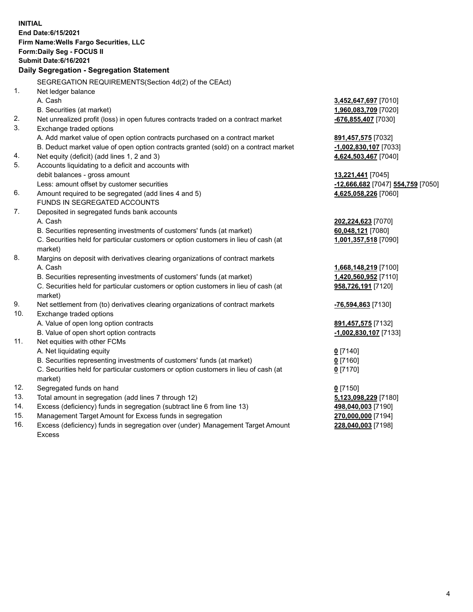**INITIAL End Date:6/15/2021 Firm Name:Wells Fargo Securities, LLC Form:Daily Seg - FOCUS II Submit Date:6/16/2021 Daily Segregation - Segregation Statement** SEGREGATION REQUIREMENTS(Section 4d(2) of the CEAct) 1. Net ledger balance A. Cash **3,452,647,697** [7010] B. Securities (at market) **1,960,083,709** [7020] 2. Net unrealized profit (loss) in open futures contracts traded on a contract market **-676,855,407** [7030] 3. Exchange traded options A. Add market value of open option contracts purchased on a contract market **891,457,575** [7032] B. Deduct market value of open option contracts granted (sold) on a contract market **-1,002,830,107** [7033] 4. Net equity (deficit) (add lines 1, 2 and 3) **4,624,503,467** [7040] 5. Accounts liquidating to a deficit and accounts with debit balances - gross amount **13,221,441** [7045] Less: amount offset by customer securities **-12,666,682** [7047] **554,759** [7050] 6. Amount required to be segregated (add lines 4 and 5) **4,625,058,226** [7060] FUNDS IN SEGREGATED ACCOUNTS 7. Deposited in segregated funds bank accounts A. Cash **202,224,623** [7070] B. Securities representing investments of customers' funds (at market) **60,048,121** [7080] C. Securities held for particular customers or option customers in lieu of cash (at market) **1,001,357,518** [7090] 8. Margins on deposit with derivatives clearing organizations of contract markets A. Cash **1,668,148,219** [7100] B. Securities representing investments of customers' funds (at market) **1,420,560,952** [7110] C. Securities held for particular customers or option customers in lieu of cash (at market) **958,726,191** [7120] 9. Net settlement from (to) derivatives clearing organizations of contract markets **-76,594,863** [7130] 10. Exchange traded options A. Value of open long option contracts **891,457,575** [7132] B. Value of open short option contracts **-1,002,830,107** [7133] 11. Net equities with other FCMs A. Net liquidating equity **0** [7140] B. Securities representing investments of customers' funds (at market) **0** [7160] C. Securities held for particular customers or option customers in lieu of cash (at market) **0** [7170] 12. Segregated funds on hand **0** [7150] 13. Total amount in segregation (add lines 7 through 12) **5,123,098,229** [7180] 14. Excess (deficiency) funds in segregation (subtract line 6 from line 13) **498,040,003** [7190] 15. Management Target Amount for Excess funds in segregation **270,000,000** [7194] **228,040,003** [7198]

16. Excess (deficiency) funds in segregation over (under) Management Target Amount Excess